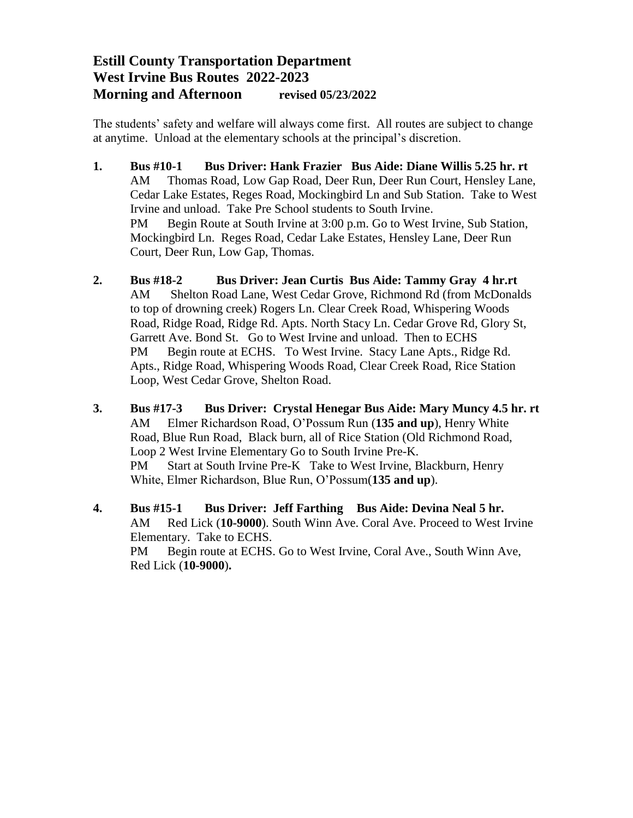## **Estill County Transportation Department West Irvine Bus Routes 2022-2023 Morning and Afternoon revised 05/23/2022**

The students' safety and welfare will always come first. All routes are subject to change at anytime. Unload at the elementary schools at the principal's discretion.

- **1. Bus #10-1 Bus Driver: Hank Frazier Bus Aide: Diane Willis 5.25 hr. rt** AM Thomas Road, Low Gap Road, Deer Run, Deer Run Court, Hensley Lane, Cedar Lake Estates, Reges Road, Mockingbird Ln and Sub Station. Take to West Irvine and unload. Take Pre School students to South Irvine. PM Begin Route at South Irvine at 3:00 p.m. Go to West Irvine, Sub Station, Mockingbird Ln. Reges Road, Cedar Lake Estates, Hensley Lane, Deer Run Court, Deer Run, Low Gap, Thomas.
- **2. Bus #18-2 Bus Driver: Jean Curtis Bus Aide: Tammy Gray 4 hr.rt** AM Shelton Road Lane, West Cedar Grove, Richmond Rd (from McDonalds to top of drowning creek) Rogers Ln. Clear Creek Road, Whispering Woods Road, Ridge Road, Ridge Rd. Apts. North Stacy Ln. Cedar Grove Rd, Glory St, Garrett Ave. Bond St. Go to West Irvine and unload. Then to ECHS PM Begin route at ECHS. To West Irvine. Stacy Lane Apts., Ridge Rd. Apts., Ridge Road, Whispering Woods Road, Clear Creek Road, Rice Station Loop, West Cedar Grove, Shelton Road.
- **3. Bus #17-3 Bus Driver: Crystal Henegar Bus Aide: Mary Muncy 4.5 hr. rt** AM Elmer Richardson Road, O'Possum Run (**135 and up**), Henry White Road, Blue Run Road, Black burn, all of Rice Station (Old Richmond Road, Loop 2 West Irvine Elementary Go to South Irvine Pre-K. PM Start at South Irvine Pre-K Take to West Irvine, Blackburn, Henry White, Elmer Richardson, Blue Run, O'Possum(**135 and up**).
- **4. Bus #15-1 Bus Driver: Jeff Farthing Bus Aide: Devina Neal 5 hr.**  AM Red Lick (**10-9000**). South Winn Ave. Coral Ave. Proceed to West Irvine Elementary. Take to ECHS. PM Begin route at ECHS. Go to West Irvine, Coral Ave., South Winn Ave, Red Lick (**10-9000**)**.**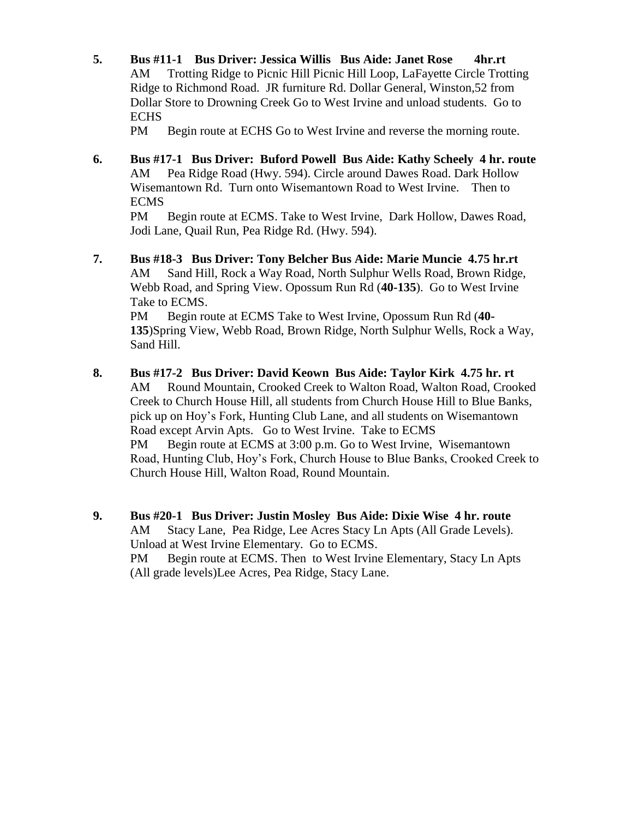**5. Bus #11-1 Bus Driver: Jessica Willis Bus Aide: Janet Rose 4hr.rt** AM Trotting Ridge to Picnic Hill Picnic Hill Loop, LaFayette Circle Trotting Ridge to Richmond Road. JR furniture Rd. Dollar General, Winston,52 from Dollar Store to Drowning Creek Go to West Irvine and unload students. Go to **ECHS** 

PM Begin route at ECHS Go to West Irvine and reverse the morning route.

**6. Bus #17-1 Bus Driver: Buford Powell Bus Aide: Kathy Scheely 4 hr. route** AM Pea Ridge Road (Hwy. 594). Circle around Dawes Road. Dark Hollow Wisemantown Rd. Turn onto Wisemantown Road to West Irvine. Then to ECMS

PM Begin route at ECMS. Take to West Irvine, Dark Hollow, Dawes Road, Jodi Lane, Quail Run, Pea Ridge Rd. (Hwy. 594).

**7. Bus #18-3 Bus Driver: Tony Belcher Bus Aide: Marie Muncie 4.75 hr.rt** AM Sand Hill, Rock a Way Road, North Sulphur Wells Road, Brown Ridge, Webb Road, and Spring View. Opossum Run Rd (**40-135**). Go to West Irvine Take to ECMS.

PM Begin route at ECMS Take to West Irvine, Opossum Run Rd (**40- 135**)Spring View, Webb Road, Brown Ridge, North Sulphur Wells, Rock a Way, Sand Hill.

- **8. Bus #17-2 Bus Driver: David Keown Bus Aide: Taylor Kirk 4.75 hr. rt** AM Round Mountain, Crooked Creek to Walton Road, Walton Road, Crooked Creek to Church House Hill, all students from Church House Hill to Blue Banks, pick up on Hoy's Fork, Hunting Club Lane, and all students on Wisemantown Road except Arvin Apts. Go to West Irvine. Take to ECMS PM Begin route at ECMS at 3:00 p.m. Go to West Irvine, Wisemantown Road, Hunting Club, Hoy's Fork, Church House to Blue Banks, Crooked Creek to Church House Hill, Walton Road, Round Mountain.
- **9. Bus #20-1 Bus Driver: Justin Mosley Bus Aide: Dixie Wise 4 hr. route** AM Stacy Lane, Pea Ridge, Lee Acres Stacy Ln Apts (All Grade Levels). Unload at West Irvine Elementary. Go to ECMS. PM Begin route at ECMS. Then to West Irvine Elementary, Stacy Ln Apts (All grade levels)Lee Acres, Pea Ridge, Stacy Lane.